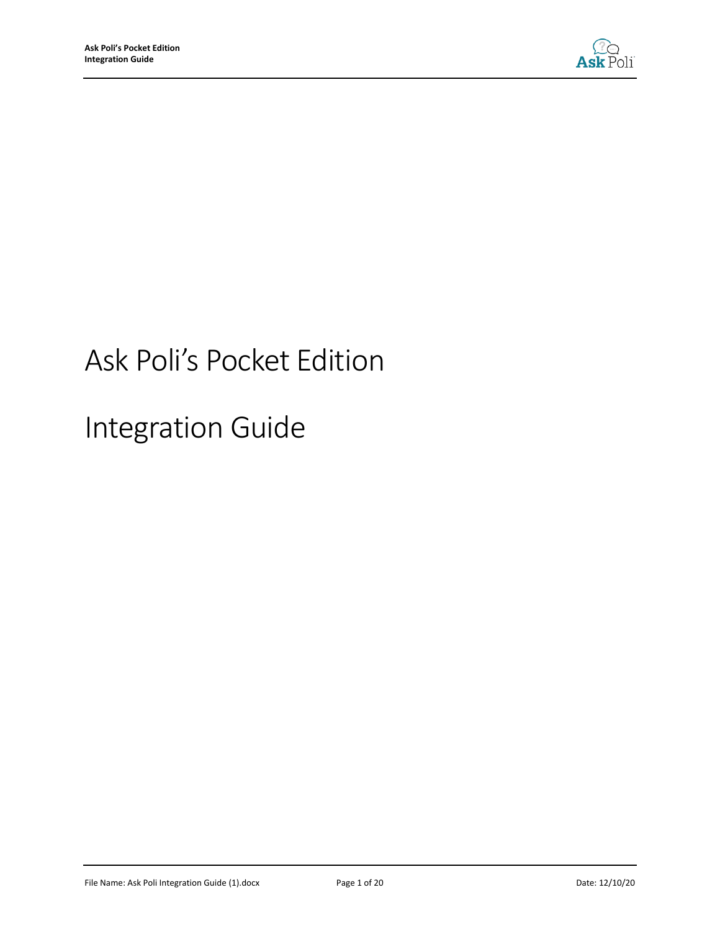

# Ask Poli's Pocket Edition

Integration Guide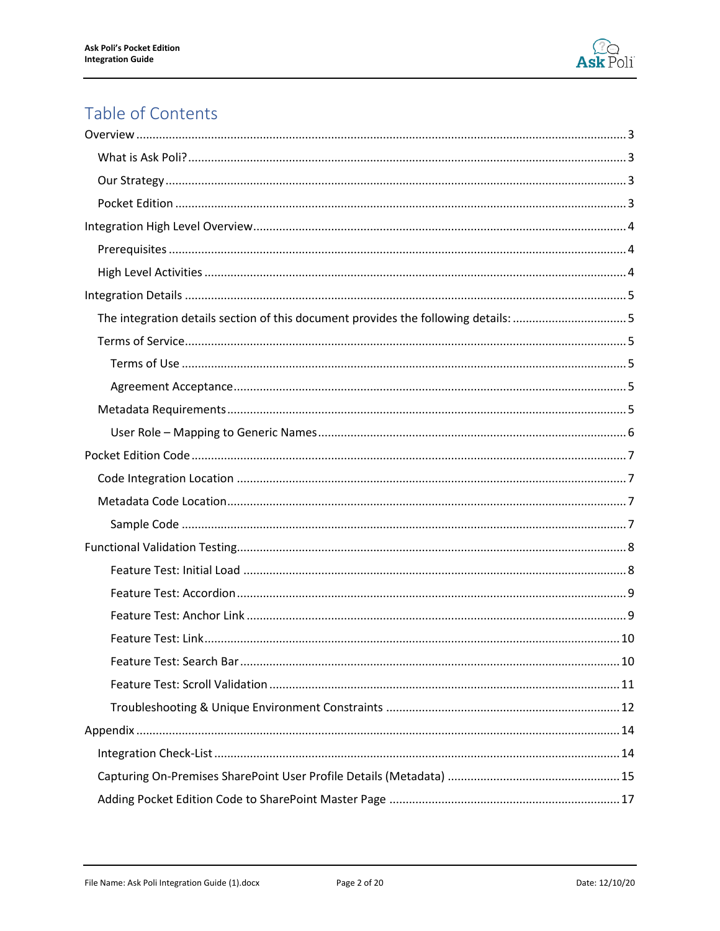

# Table of Contents

| The integration details section of this document provides the following details: 5 |
|------------------------------------------------------------------------------------|
|                                                                                    |
|                                                                                    |
|                                                                                    |
|                                                                                    |
|                                                                                    |
|                                                                                    |
|                                                                                    |
|                                                                                    |
|                                                                                    |
|                                                                                    |
|                                                                                    |
|                                                                                    |
|                                                                                    |
|                                                                                    |
|                                                                                    |
|                                                                                    |
|                                                                                    |
|                                                                                    |
|                                                                                    |
|                                                                                    |
|                                                                                    |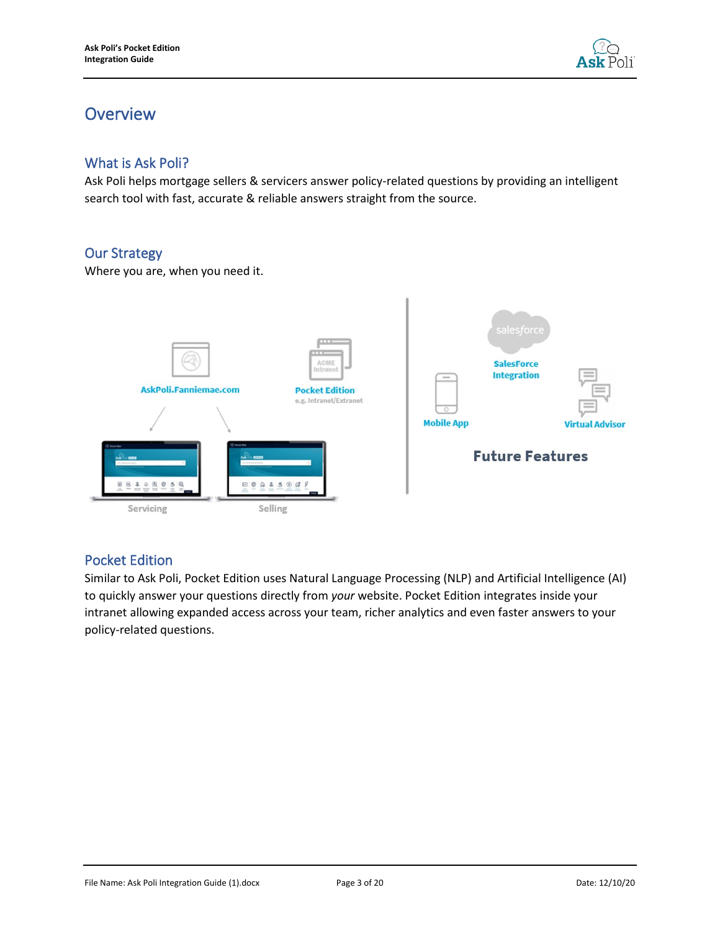

# <span id="page-2-0"></span>**Overview**

### <span id="page-2-1"></span>What is Ask Poli?

Ask Poli helps mortgage sellers & servicers answer policy-related questions by providing an intelligent search tool with fast, accurate & reliable answers straight from the source.

# <span id="page-2-2"></span>Our Strategy

Where you are, when you need it.



### <span id="page-2-3"></span>Pocket Edition

Similar to Ask Poli, Pocket Edition uses Natural Language Processing (NLP) and Artificial Intelligence (AI) to quickly answer your questions directly from *your* website. Pocket Edition integrates inside your intranet allowing expanded access across your team, richer analytics and even faster answers to your policy-related questions.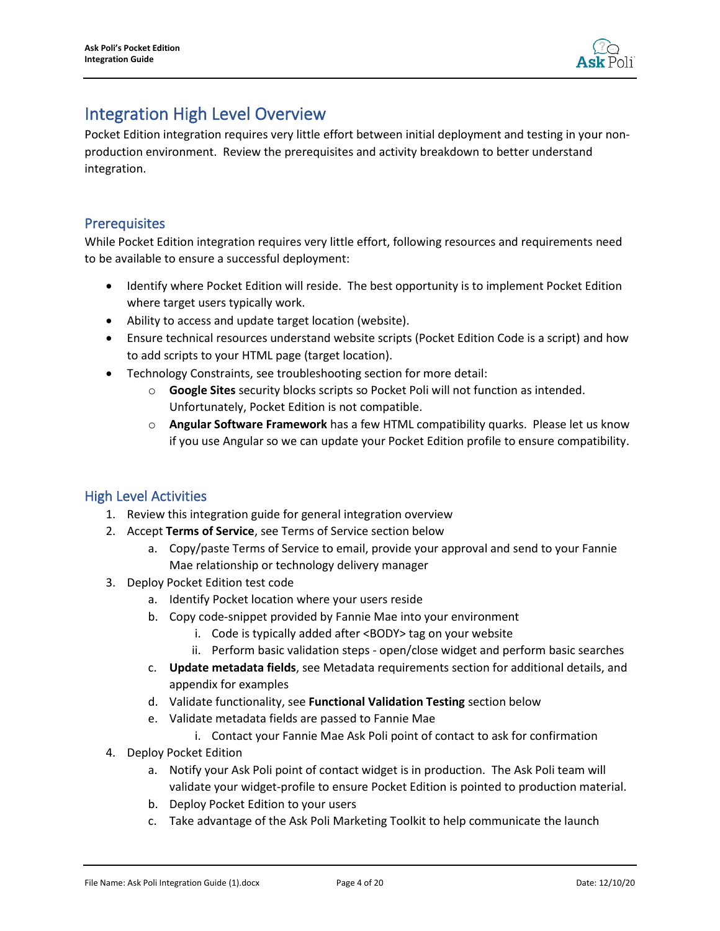

# <span id="page-3-0"></span>Integration High Level Overview

Pocket Edition integration requires very little effort between initial deployment and testing in your nonproduction environment. Review the prerequisites and activity breakdown to better understand integration.

### <span id="page-3-1"></span>**Prerequisites**

While Pocket Edition integration requires very little effort, following resources and requirements need to be available to ensure a successful deployment:

- Identify where Pocket Edition will reside. The best opportunity is to implement Pocket Edition where target users typically work.
- Ability to access and update target location (website).
- Ensure technical resources understand website scripts (Pocket Edition Code is a script) and how to add scripts to your HTML page (target location).
- Technology Constraints, see troubleshooting section for more detail:
	- o **Google Sites** security blocks scripts so Pocket Poli will not function as intended. Unfortunately, Pocket Edition is not compatible.
	- o **Angular Software Framework** has a few HTML compatibility quarks. Please let us know if you use Angular so we can update your Pocket Edition profile to ensure compatibility.

#### <span id="page-3-2"></span>High Level Activities

- 1. Review this integration guide for general integration overview
- 2. Accept **Terms of Service**, see Terms of Service section below
	- a. Copy/paste Terms of Service to email, provide your approval and send to your Fannie Mae relationship or technology delivery manager
- 3. Deploy Pocket Edition test code
	- a. Identify Pocket location where your users reside
	- b. Copy code-snippet provided by Fannie Mae into your environment
		- i. Code is typically added after <BODY> tag on your website
		- ii. Perform basic validation steps open/close widget and perform basic searches
	- c. **Update metadata fields**, see Metadata requirements section for additional details, and appendix for examples
	- d. Validate functionality, see **Functional Validation Testing** section below
	- e. Validate metadata fields are passed to Fannie Mae
		- i. Contact your Fannie Mae Ask Poli point of contact to ask for confirmation
- 4. Deploy Pocket Edition
	- a. Notify your Ask Poli point of contact widget is in production. The Ask Poli team will validate your widget-profile to ensure Pocket Edition is pointed to production material.
	- b. Deploy Pocket Edition to your users
	- c. Take advantage of the Ask Poli Marketing Toolkit to help communicate the launch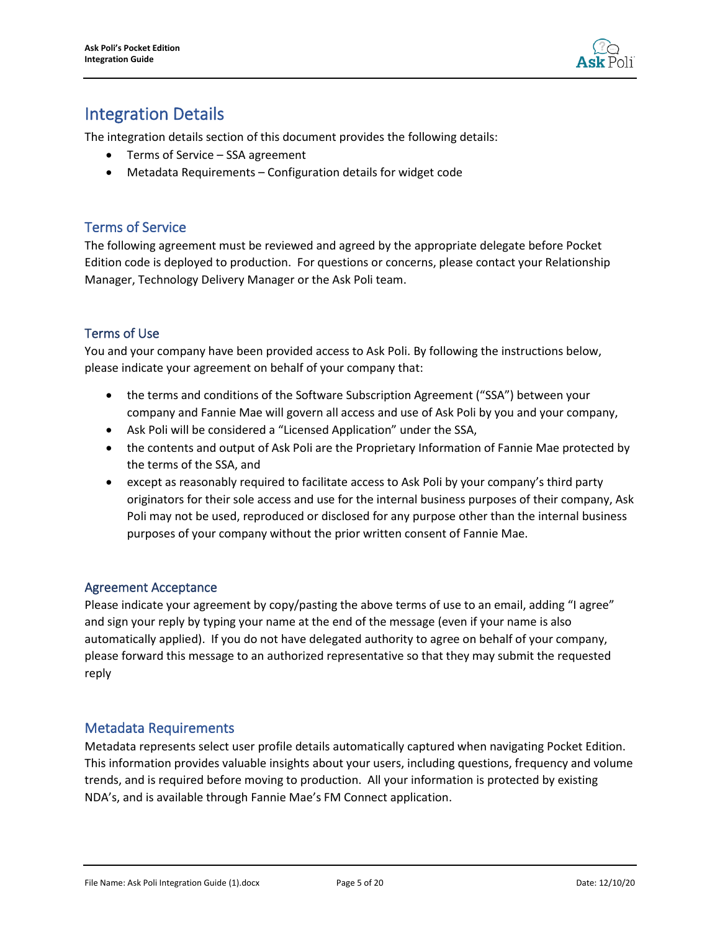

# <span id="page-4-0"></span>Integration Details

<span id="page-4-1"></span>The integration details section of this document provides the following details:

- Terms of Service SSA agreement
- Metadata Requirements Configuration details for widget code

### <span id="page-4-2"></span>Terms of Service

The following agreement must be reviewed and agreed by the appropriate delegate before Pocket Edition code is deployed to production. For questions or concerns, please contact your Relationship Manager, Technology Delivery Manager or the Ask Poli team.

#### <span id="page-4-3"></span>Terms of Use

You and your company have been provided access to Ask Poli. By following the instructions below, please indicate your agreement on behalf of your company that:

- the terms and conditions of the Software Subscription Agreement ("SSA") between your company and Fannie Mae will govern all access and use of Ask Poli by you and your company,
- Ask Poli will be considered a "Licensed Application" under the SSA,
- the contents and output of Ask Poli are the Proprietary Information of Fannie Mae protected by the terms of the SSA, and
- except as reasonably required to facilitate access to Ask Poli by your company's third party originators for their sole access and use for the internal business purposes of their company, Ask Poli may not be used, reproduced or disclosed for any purpose other than the internal business purposes of your company without the prior written consent of Fannie Mae.

#### <span id="page-4-4"></span>Agreement Acceptance

Please indicate your agreement by copy/pasting the above terms of use to an email, adding "I agree" and sign your reply by typing your name at the end of the message (even if your name is also automatically applied). If you do not have delegated authority to agree on behalf of your company, please forward this message to an authorized representative so that they may submit the requested reply

#### <span id="page-4-5"></span>Metadata Requirements

Metadata represents select user profile details automatically captured when navigating Pocket Edition. This information provides valuable insights about your users, including questions, frequency and volume trends, and is required before moving to production. All your information is protected by existing NDA's, and is available through Fannie Mae's FM Connect application.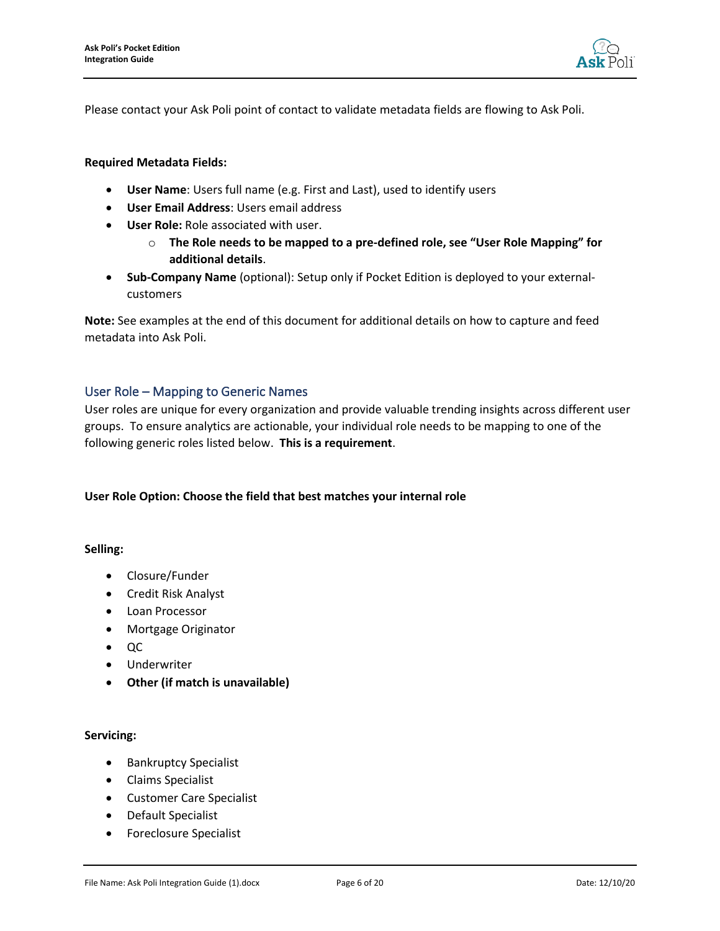

Please contact your Ask Poli point of contact to validate metadata fields are flowing to Ask Poli.

#### **Required Metadata Fields:**

- **User Name**: Users full name (e.g. First and Last), used to identify users
- **User Email Address**: Users email address
- **User Role:** Role associated with user.
	- o **The Role needs to be mapped to a pre-defined role, see "User Role Mapping" for additional details**.
- **Sub-Company Name** (optional): Setup only if Pocket Edition is deployed to your externalcustomers

**Note:** See examples at the end of this document for additional details on how to capture and feed metadata into Ask Poli.

#### <span id="page-5-0"></span>User Role – Mapping to Generic Names

User roles are unique for every organization and provide valuable trending insights across different user groups. To ensure analytics are actionable, your individual role needs to be mapping to one of the following generic roles listed below. **This is a requirement**.

#### **User Role Option: Choose the field that best matches your internal role**

#### **Selling:**

- Closure/Funder
- Credit Risk Analyst
- Loan Processor
- Mortgage Originator
- QC
- Underwriter
- **Other (if match is unavailable)**

#### **Servicing:**

- Bankruptcy Specialist
- Claims Specialist
- Customer Care Specialist
- Default Specialist
- Foreclosure Specialist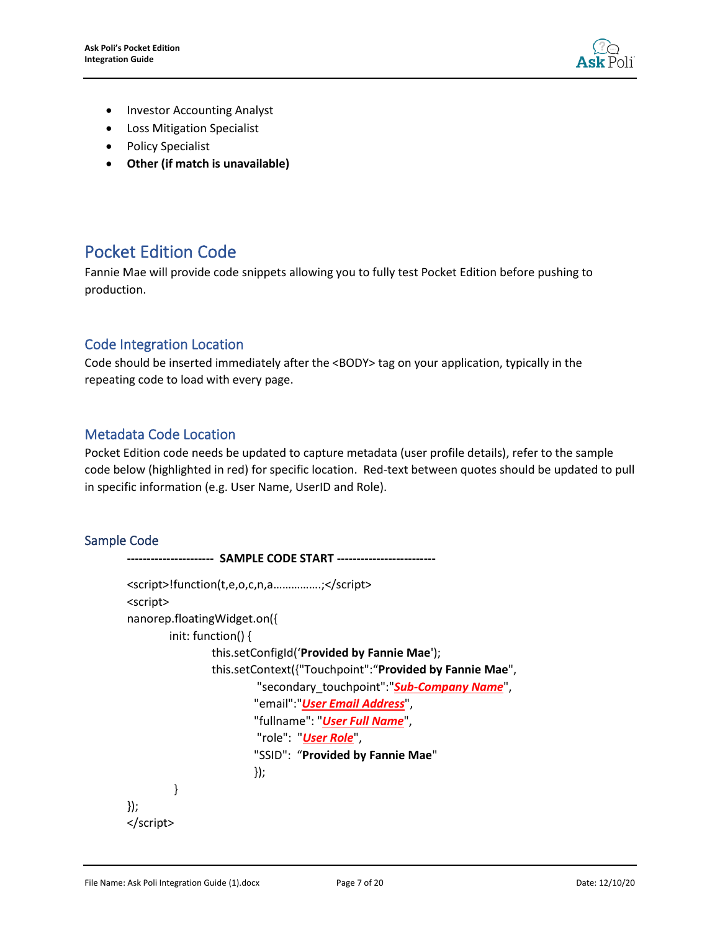

- Investor Accounting Analyst
- Loss Mitigation Specialist
- Policy Specialist
- **Other (if match is unavailable)**

# <span id="page-6-0"></span>Pocket Edition Code

Fannie Mae will provide code snippets allowing you to fully test Pocket Edition before pushing to production.

### <span id="page-6-1"></span>Code Integration Location

Code should be inserted immediately after the <BODY> tag on your application, typically in the repeating code to load with every page.

#### <span id="page-6-2"></span>Metadata Code Location

Pocket Edition code needs be updated to capture metadata (user profile details), refer to the sample code below (highlighted in red) for specific location. Red-text between quotes should be updated to pull in specific information (e.g. User Name, UserID and Role).

#### <span id="page-6-3"></span>Sample Code

```
---------------------- SAMPLE CODE START -------------------------
<script>!function(t,e,o,c,n,a…………….;</script>
<script>
nanorep.floatingWidget.on({
       init: function() {
                this.setConfigId('Provided by Fannie Mae');
                this.setContext({"Touchpoint":"Provided by Fannie Mae",
                         "secondary_touchpoint":"Sub-Company Name",
                        "email":"User Email Address",
                        "fullname": "User Full Name",
                        "role": "User Role",
                        "SSID": "Provided by Fannie Mae"
                        });
         }
});
</script>
```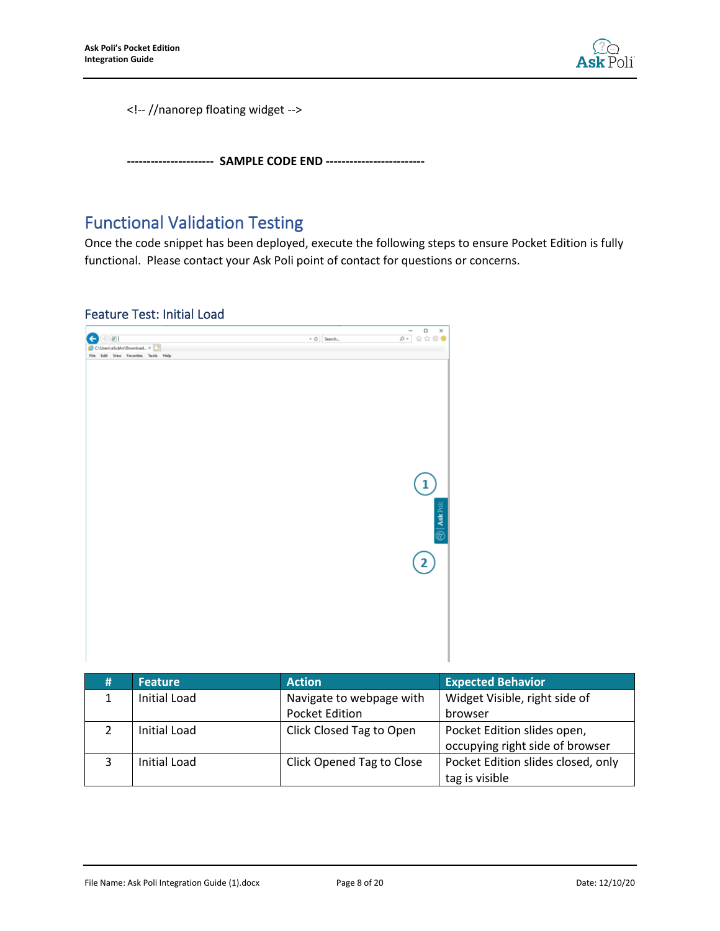

<!-- //nanorep floating widget -->

**---------------------- SAMPLE CODE END -------------------------**

# <span id="page-7-0"></span>Functional Validation Testing

Once the code snippet has been deployed, execute the following steps to ensure Pocket Edition is fully functional. Please contact your Ask Poli point of contact for questions or concerns.

#### <span id="page-7-1"></span>Feature Test: Initial Load



| #  | <b>Feature</b>      | <b>Action</b>             | <b>Expected Behavior</b>           |
|----|---------------------|---------------------------|------------------------------------|
|    | <b>Initial Load</b> | Navigate to webpage with  | Widget Visible, right side of      |
|    |                     | <b>Pocket Edition</b>     | browser                            |
| ົາ | Initial Load        | Click Closed Tag to Open  | Pocket Edition slides open,        |
|    |                     |                           | occupying right side of browser    |
|    | Initial Load        | Click Opened Tag to Close | Pocket Edition slides closed, only |
|    |                     |                           | tag is visible                     |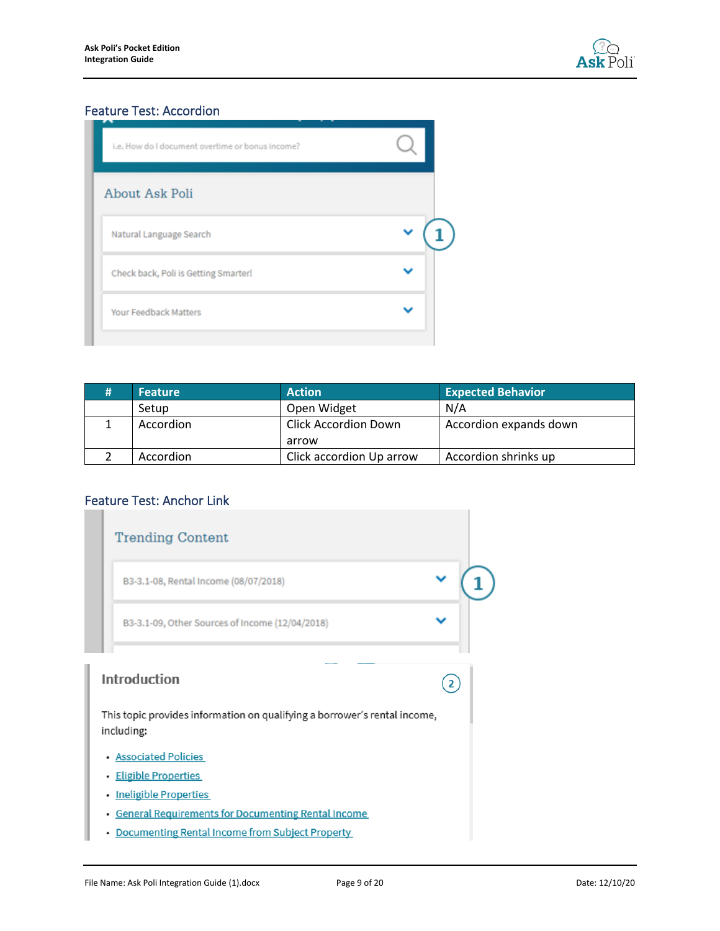

# <span id="page-8-0"></span>Feature Test: Accordion

| About Ask Poli<br>Natural Language Search<br>Check back, Poli is Getting Smarter!<br><b>Your Feedback Matters</b> |  |
|-------------------------------------------------------------------------------------------------------------------|--|
|                                                                                                                   |  |
|                                                                                                                   |  |
|                                                                                                                   |  |
|                                                                                                                   |  |

| <b>Feature</b> | <b>Action</b>                        | <b>Expected Behavior</b> |
|----------------|--------------------------------------|--------------------------|
| Setup          | Open Widget                          | N/A                      |
| Accordion      | <b>Click Accordion Down</b><br>arrow | Accordion expands down   |
| Accordion      | Click accordion Up arrow             | Accordion shrinks up     |

# <span id="page-8-1"></span>Feature Test: Anchor Link

|                                                   | <b>Trending Content</b>                                                                 |  |  |  |
|---------------------------------------------------|-----------------------------------------------------------------------------------------|--|--|--|
|                                                   | B3-3.1-08, Rental Income (08/07/2018)                                                   |  |  |  |
|                                                   | B3-3.1-09, Other Sources of Income (12/04/2018)                                         |  |  |  |
|                                                   | Introduction                                                                            |  |  |  |
|                                                   | This topic provides information on qualifying a borrower's rental income,<br>including: |  |  |  |
|                                                   | • Associated Policies                                                                   |  |  |  |
|                                                   | · Eligible Properties                                                                   |  |  |  |
| ٠                                                 | <b>Ineligible Properties</b>                                                            |  |  |  |
| ٠                                                 | <b>General Requirements for Documenting Rental Income</b>                               |  |  |  |
| • Documenting Rental Income from Subject Property |                                                                                         |  |  |  |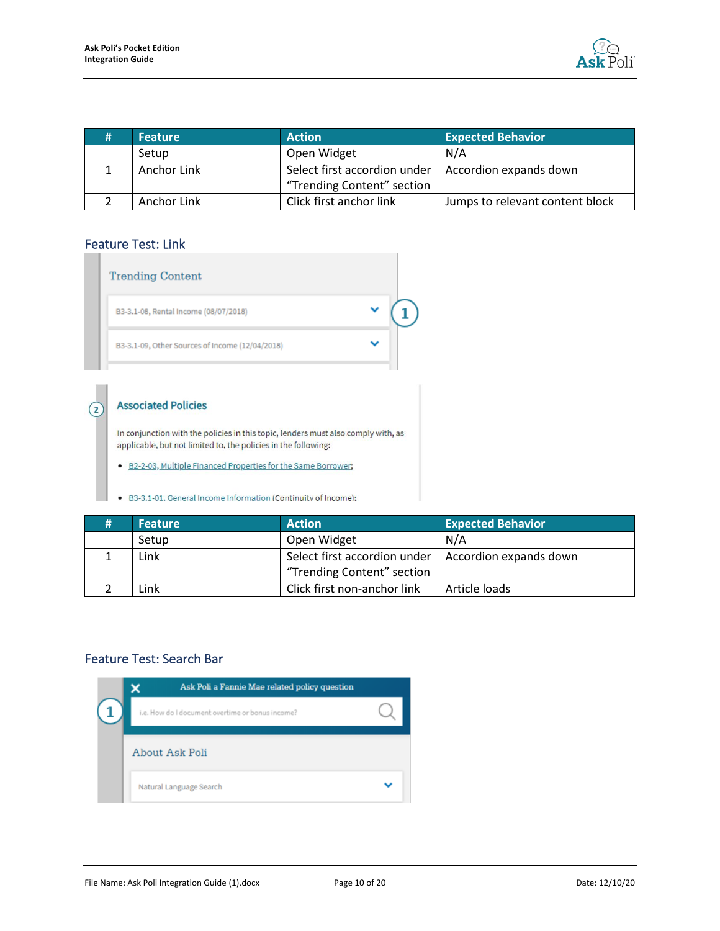

| <b>Feature</b> | <b>Action</b>                                          | <b>Expected Behavior</b>        |
|----------------|--------------------------------------------------------|---------------------------------|
| Setup          | Open Widget                                            | N/A                             |
| Anchor Link    | Select first accordion under<br>Accordion expands down |                                 |
|                | "Trending Content" section                             |                                 |
| Anchor Link    | Click first anchor link                                | Jumps to relevant content block |

### <span id="page-9-0"></span>Feature Test: Link

 $\Omega$ 

| <b>Trending Content</b>                         |  |
|-------------------------------------------------|--|
| B3-3.1-08, Rental Income (08/07/2018)           |  |
| B3-3.1-09, Other Sources of Income (12/04/2018) |  |
|                                                 |  |
| <b>Associated Policies</b>                      |  |
|                                                 |  |

In conjunction with the policies in this topic, lenders must also comply with, as applicable, but not limited to, the policies in the following:

. B2-2-03, Multiple Financed Properties for the Same Borrower;

• B3-3.1-01. General Income Information (Continuity of Income);

| <b>Feature</b> | <b>Action</b>                                          | <b>Expected Behavior</b> |
|----------------|--------------------------------------------------------|--------------------------|
| Setup          | Open Widget                                            | N/A                      |
| Link           | Select first accordion under<br>Accordion expands down |                          |
|                | "Trending Content" section                             |                          |
| Link           | Click first non-anchor link                            | Article loads            |

#### <span id="page-9-1"></span>Feature Test: Search Bar

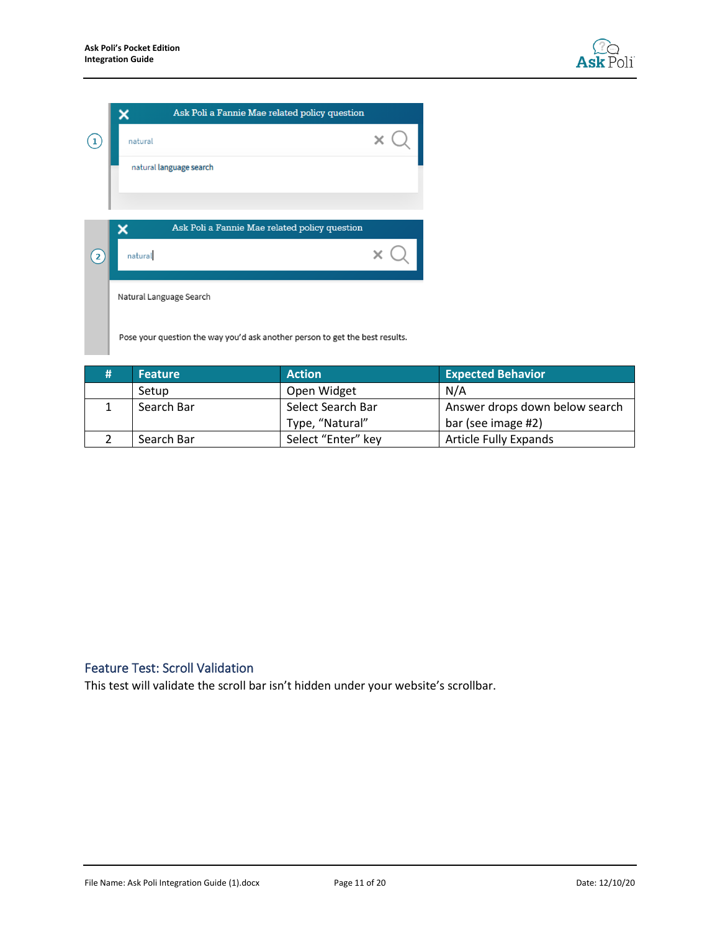

| Ask Poli a Fannie Mae related policy question                                |  |
|------------------------------------------------------------------------------|--|
| natural                                                                      |  |
| natural language search                                                      |  |
|                                                                              |  |
| Ask Poli a Fannie Mae related policy question                                |  |
| natural                                                                      |  |
| Natural Language Search                                                      |  |
| Pose your question the way you'd ask another person to get the best results. |  |

| # | <b>Feature</b> | <b>Action</b>      | <b>Expected Behavior</b>       |
|---|----------------|--------------------|--------------------------------|
|   | Setup          | Open Widget        | N/A                            |
|   | Search Bar     | Select Search Bar  | Answer drops down below search |
|   |                | Type, "Natural"    | bar (see image #2)             |
|   | Search Bar     | Select "Enter" key | <b>Article Fully Expands</b>   |

# <span id="page-10-0"></span>Feature Test: Scroll Validation

This test will validate the scroll bar isn't hidden under your website's scrollbar.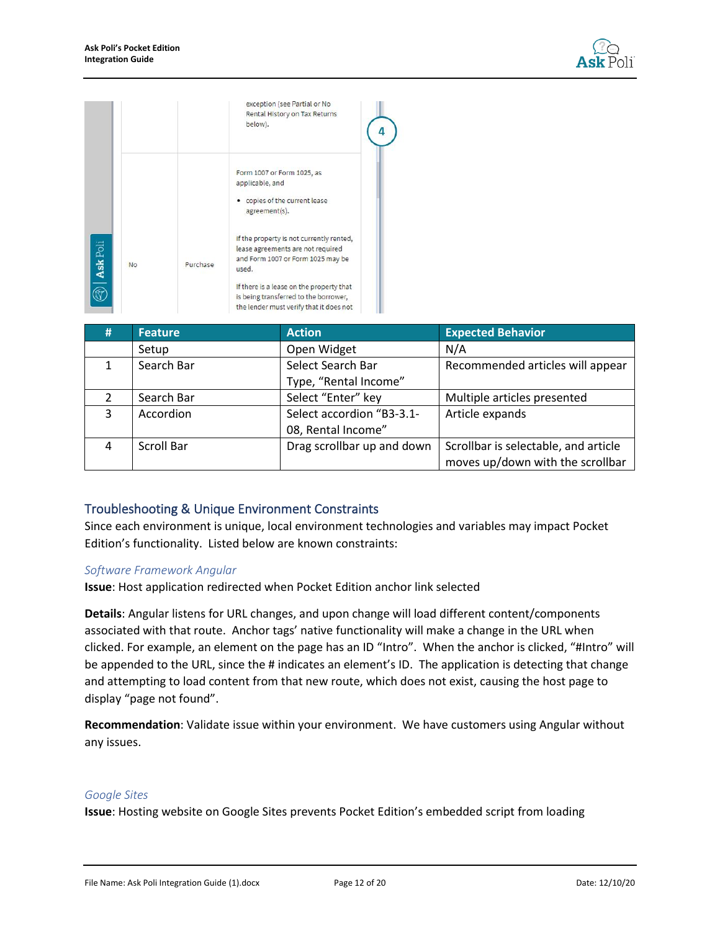

|                 |    |          | exception (see Partial or No<br>Rental History on Tax Returns<br>below).                                                     |
|-----------------|----|----------|------------------------------------------------------------------------------------------------------------------------------|
|                 |    |          | Form 1007 or Form 1025, as<br>applicable, and<br>copies of the current lease<br>agreement(s).                                |
| <b>Ask Poli</b> | No | Purchase | If the property is not currently rented,<br>lease agreements are not required<br>and Form 1007 or Form 1025 may be<br>used.  |
|                 |    |          | If there is a lease on the property that<br>is being transferred to the borrower,<br>the lender must verify that it does not |

| # | <b>Feature</b>    | <b>Action</b>              | <b>Expected Behavior</b>             |
|---|-------------------|----------------------------|--------------------------------------|
|   | Setup             | Open Widget                | N/A                                  |
|   | Search Bar        | Select Search Bar          | Recommended articles will appear     |
|   |                   | Type, "Rental Income"      |                                      |
|   | Search Bar        | Select "Enter" key         | Multiple articles presented          |
| 3 | Accordion         | Select accordion "B3-3.1-  | Article expands                      |
|   |                   | 08, Rental Income"         |                                      |
| 4 | <b>Scroll Bar</b> | Drag scrollbar up and down | Scrollbar is selectable, and article |
|   |                   |                            | moves up/down with the scrollbar     |

#### <span id="page-11-0"></span>Troubleshooting & Unique Environment Constraints

Since each environment is unique, local environment technologies and variables may impact Pocket Edition's functionality. Listed below are known constraints:

#### *Software Framework Angular*

**Issue**: Host application redirected when Pocket Edition anchor link selected

**Details**: Angular listens for URL changes, and upon change will load different content/components associated with that route. Anchor tags' native functionality will make a change in the URL when clicked. For example, an element on the page has an ID "Intro". When the anchor is clicked, "#Intro" will be appended to the URL, since the # indicates an element's ID. The application is detecting that change and attempting to load content from that new route, which does not exist, causing the host page to display "page not found".

**Recommendation**: Validate issue within your environment. We have customers using Angular without any issues.

#### *Google Sites*

**Issue**: Hosting website on Google Sites prevents Pocket Edition's embedded script from loading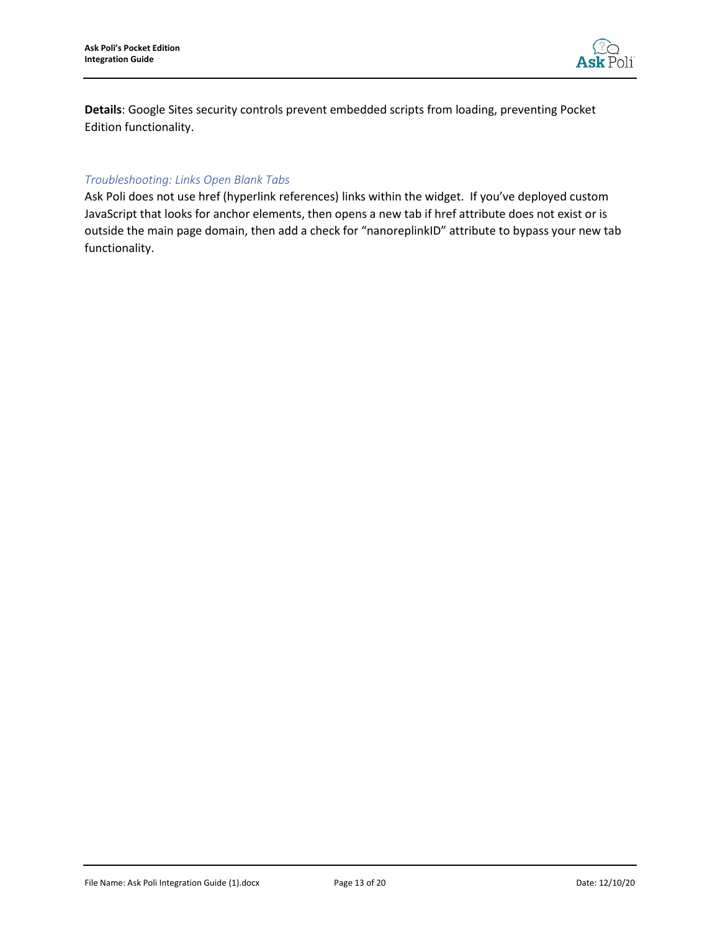

**Details**: Google Sites security controls prevent embedded scripts from loading, preventing Pocket Edition functionality.

#### *Troubleshooting: Links Open Blank Tabs*

Ask Poli does not use href (hyperlink references) links within the widget. If you've deployed custom JavaScript that looks for anchor elements, then opens a new tab if href attribute does not exist or is outside the main page domain, then add a check for "nanoreplinkID" attribute to bypass your new tab functionality.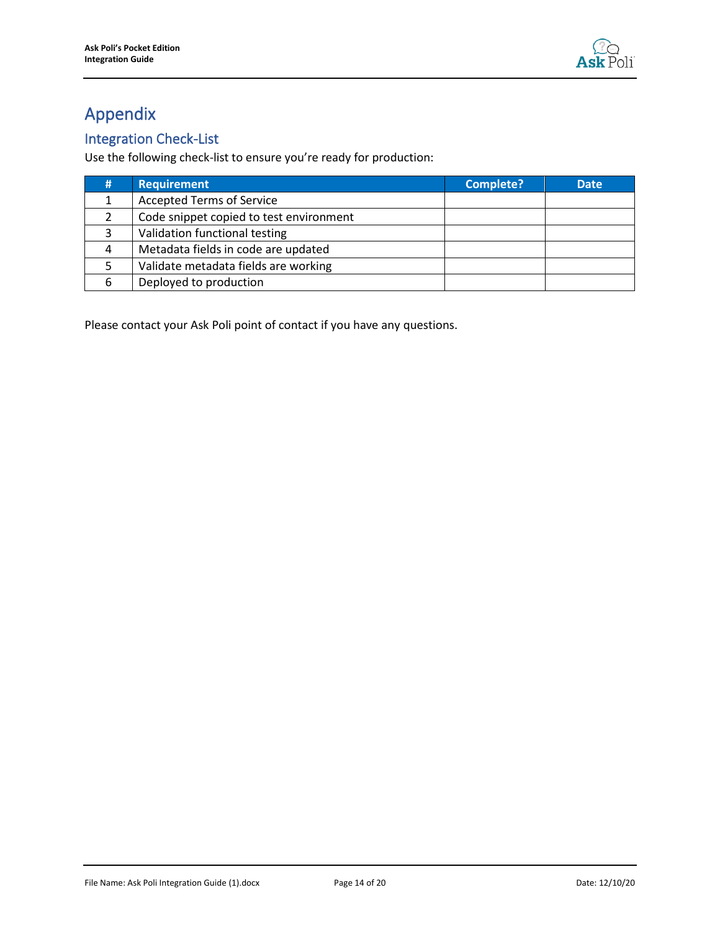

# <span id="page-13-0"></span>Appendix

# <span id="page-13-1"></span>Integration Check-List

Use the following check-list to ensure you're ready for production:

| # | <b>Requirement</b>                      | <b>Complete?</b> | <b>Date</b> |
|---|-----------------------------------------|------------------|-------------|
|   | <b>Accepted Terms of Service</b>        |                  |             |
|   | Code snippet copied to test environment |                  |             |
|   | Validation functional testing           |                  |             |
|   | Metadata fields in code are updated     |                  |             |
|   | Validate metadata fields are working    |                  |             |
| 6 | Deployed to production                  |                  |             |

Please contact your Ask Poli point of contact if you have any questions.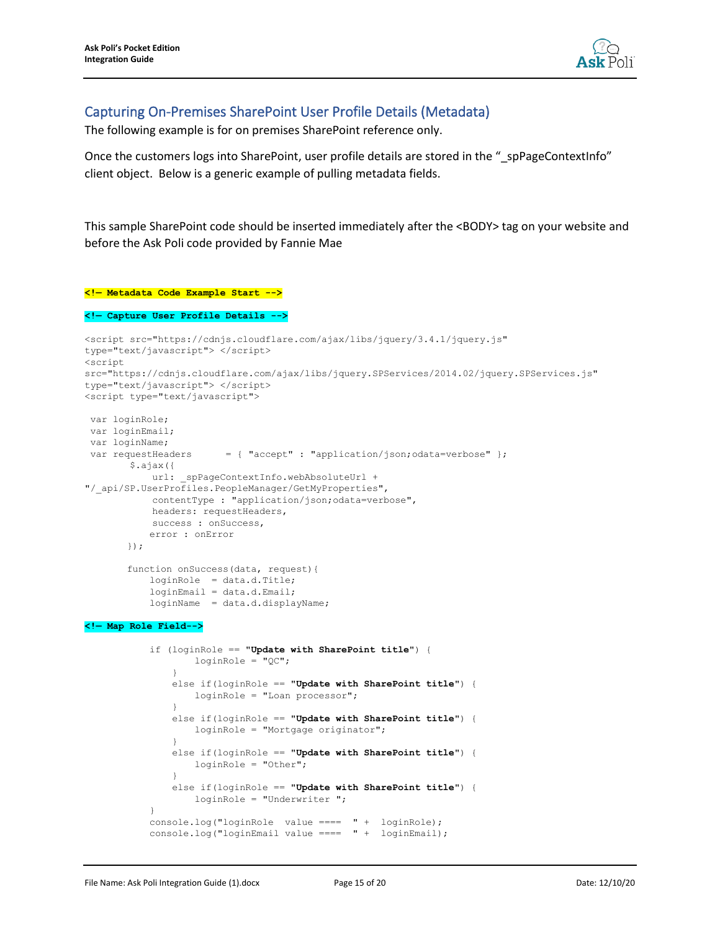

### <span id="page-14-0"></span>Capturing On-Premises SharePoint User Profile Details (Metadata)

The following example is for on premises SharePoint reference only.

Once the customers logs into SharePoint, user profile details are stored in the " spPageContextInfo" client object. Below is a generic example of pulling metadata fields.

This sample SharePoint code should be inserted immediately after the <BODY> tag on your website and before the Ask Poli code provided by Fannie Mae

#### **<!— Metadata Code Example Start -->**

**<!— Capture User Profile Details -->**

```
<script src="https://cdnjs.cloudflare.com/ajax/libs/jquery/3.4.1/jquery.js" 
type="text/javascript"> </script>
<script 
src="https://cdnjs.cloudflare.com/ajax/libs/jquery.SPServices/2014.02/jquery.SPServices.js" 
type="text/javascript"> </script>
<script type="text/javascript">
var loginRole;
var loginEmail;
var loginName;
var requestHeaders = { "accept" : "application/json;odata=verbose" };
        $.ajax({
           url: spPageContextInfo.webAbsoluteUrl +
"/_api/SP.UserProfiles.PeopleManager/GetMyProperties",
            contentType : "application/json;odata=verbose",
            headers: requestHeaders,
           success : onSuccess,
            error : onError
        });
        function onSuccess(data, request){
            loginRole = data.d.Title;
            loginEmail = data.d.Email;
            loginName = data.d.displayName;
<!— Map Role Field-->
            if (loginRole == "Update with SharePoint title") {
                    loginRole = "QC";
        }
                else if(loginRole == "Update with SharePoint title") {
                    loginRole = "Loan processor";
        }
                else if(loginRole == "Update with SharePoint title") {
                    loginRole = "Mortgage originator";
        }
                else if(loginRole == "Update with SharePoint title") {
                    loginRole = "Other";
        }
                else if(loginRole == "Update with SharePoint title") {
                    loginRole = "Underwriter ";
 }
```

```
 console.log("loginRole value ==== " + loginRole);
 console.log("loginEmail value ==== " + loginEmail);
```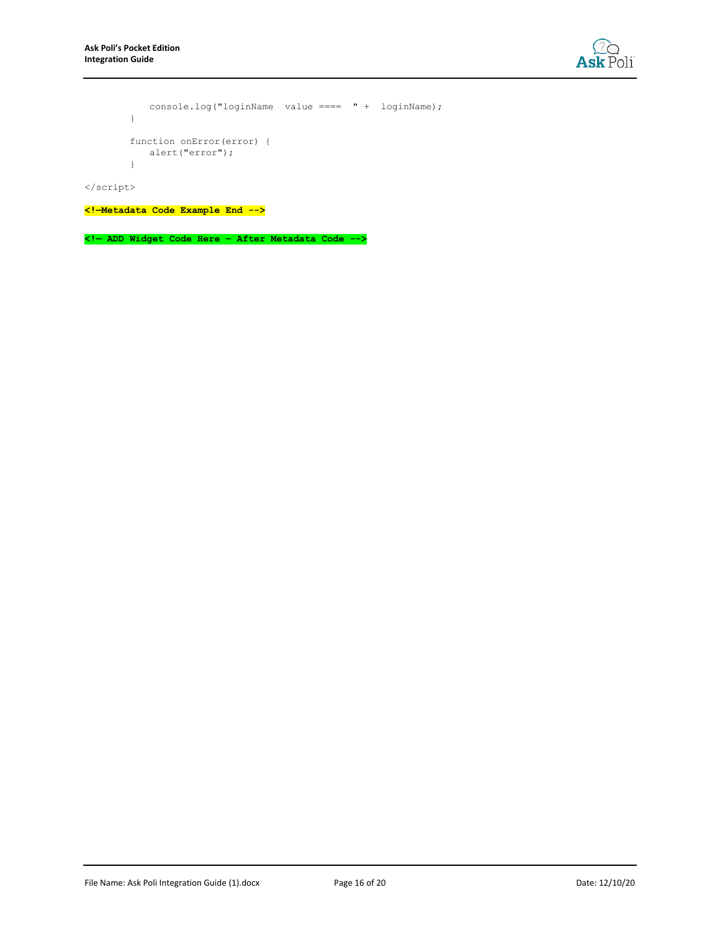

```
 console.log("loginName value ==== " + loginName);
 }
 function onError(error) {
    alert("error");
 }
```
</script>

**<!—Metadata Code Example End -->**

**<!— ADD Widget Code Here – After Metadata Code -->**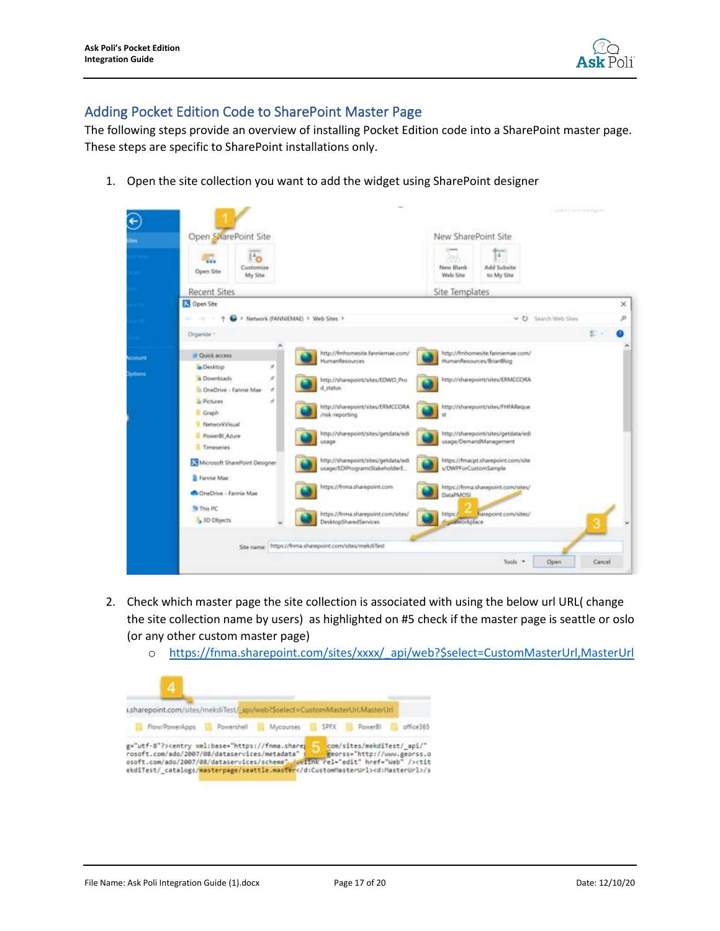

### <span id="page-16-0"></span>Adding Pocket Edition Code to SharePoint Master Page

The following steps provide an overview of installing Pocket Edition code into a SharePoint master page. These steps are specific to SharePoint installations only.

1. Open the site collection you want to add the widget using SharePoint designer



- 2. Check which master page the site collection is associated with using the below url URL( change the site collection name by users) as highlighted on #5 check if the master page is seattle or oslo (or any other custom master page)
	- o [https://fnma.sharepoint.com/sites/xxxx/\\_api/web?\\$select=CustomMasterUrl,MasterUrl](https://fnma.sharepoint.com/sites/xxxx/_api/web?$select=CustomMasterUrl,MasterUrl)

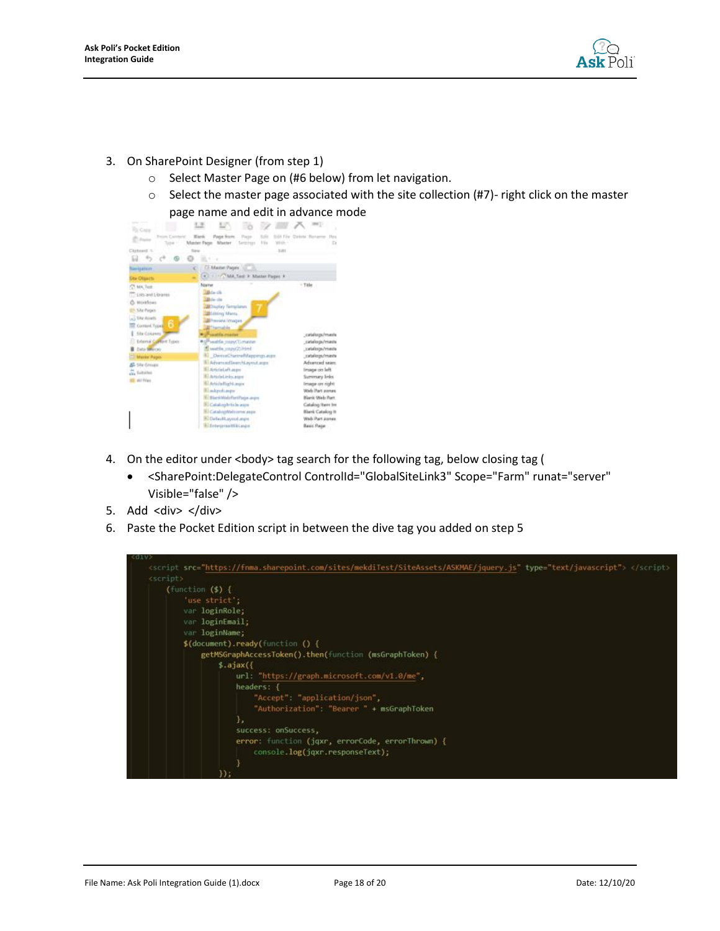

- 3. On SharePoint Designer (from step 1)
	- o Select Master Page on (#6 below) from let navigation.
	- $\circ$  Select the master page associated with the site collection (#7)- right click on the master page name and edit in advance mode



- 4. On the editor under <body> tag search for the following tag, below closing tag (
	- <SharePoint:DelegateControl ControlId="GlobalSiteLink3" Scope="Farm" runat="server" Visible="false" />
- 5. Add <div> </div>
- 6. Paste the Pocket Edition script in between the dive tag you added on step 5

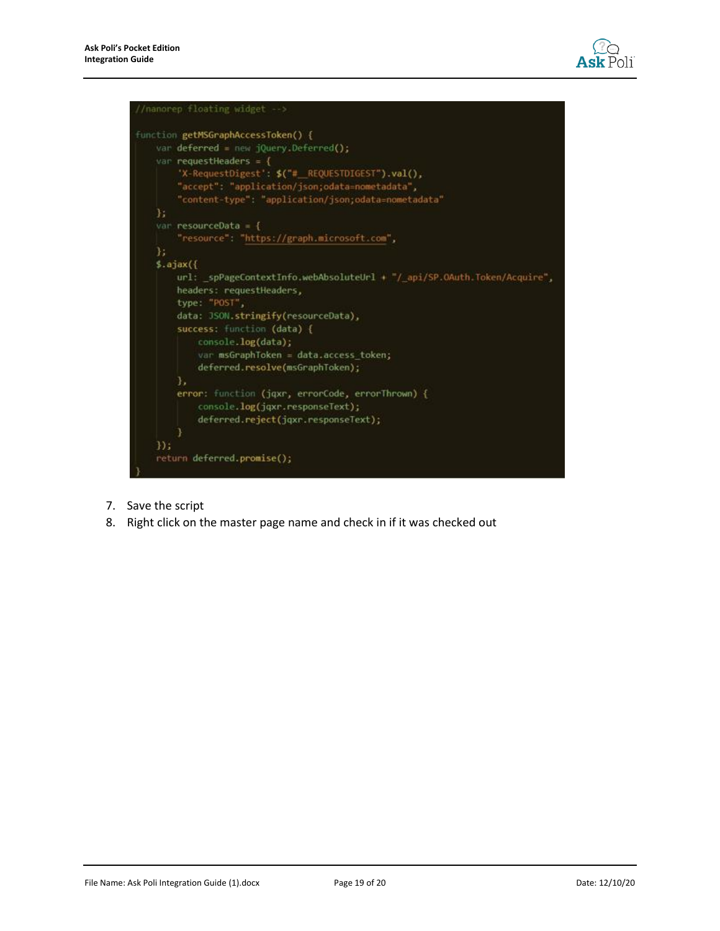



- 7. Save the script
- 8. Right click on the master page name and check in if it was checked out